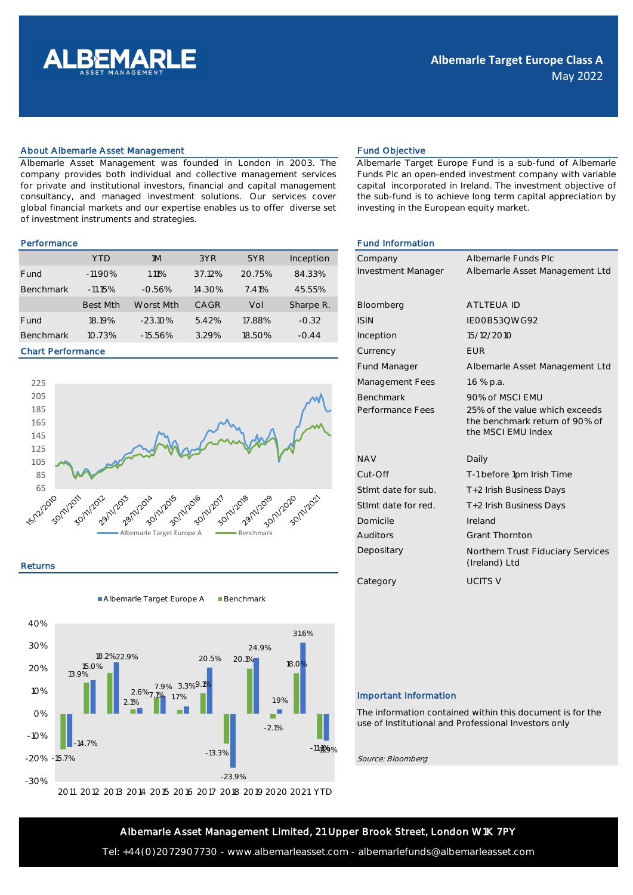

### About Albemarle Asset Management Fund Objective Fund Objective

Albemarle Asset Management was founded in London in 2003. The company provides both individual and collective management services for private and institutional investors, financial and capital management consultancy, and managed investment solutions. Our services cover global financial markets and our expertise enables us to offer diverse set of investment instruments and strategies.

|                  | <b>YTD</b>      | 1M         | 3YR    | 5YR    | Inception | Company            | Albemarle Funds |
|------------------|-----------------|------------|--------|--------|-----------|--------------------|-----------------|
| Fund             | $-11.90\%$      | 1.11%      | 37.12% | 20.75% | 84.33%    | Investment Manager | Albemarle Asset |
| <b>Benchmark</b> | $-11.15%$       | $-0.56%$   | 14.30% | 7.41%  | 45.55%    |                    |                 |
|                  | <b>Best Mth</b> | Worst Mth  | CAGR   | Vol    | Sharpe R. | Bloomberg          | ATLTEUA ID      |
| Fund             | 18.19%          | $-23.10\%$ | 5.42%  | 17.88% | $-0.32$   | <b>ISIN</b>        | IE00B53QWG92    |
| <b>Benchmark</b> | 10.73%          | $-15.56%$  | 3.29%  | 18.50% | $-0.44$   | Inception          | 15/12/2010      |

### Chart Performance



### Returns

Albemarle Target Europe A Benchmark





Albemarle Target Europe Fund is a sub-fund of Albemarle Funds Plc an open-ended investment company with variable capital incorporated in Ireland. The investment objective of the sub-fund is to achieve long term capital appreciation by investing in the European equity market.

## Performance **Fund Information Fund Information**

| Company                   | Albemarle Funds Plc                                  |
|---------------------------|------------------------------------------------------|
| <b>Investment Manager</b> | Albemarle Asset Management Ltd                       |
|                           |                                                      |
| Bloomberg                 | <b>ATLTEUA ID</b>                                    |
| <b>ISIN</b>               | IE00B53QWG92                                         |
| Inception                 | 15/12/2010                                           |
| Currency                  | <b>FUR</b>                                           |
| <b>Fund Manager</b>       | Albemarle Asset Management Ltd                       |
| Management Fees           | 1.6 $%$ p.a.                                         |
| <b>Benchmark</b>          | 90% of MSCLEMU                                       |
| Performance Fees          | 25% of the value which exceeds                       |
|                           | the benchmark return of 90% of<br>the MSCI EMU Index |
|                           |                                                      |
| <b>NAV</b>                | Daily                                                |
| Cut-Off                   | T-1 before 1pm Irish Time                            |
| Stlmt date for sub.       | T+2 Irish Business Days                              |
| Stlmt date for red.       | T+2 Irish Business Days                              |
| Domicile                  | Ireland                                              |
| <b>Auditors</b>           | <b>Grant Thornton</b>                                |
| Depositary                | Northern Trust Fiduciary Services<br>(Ireland) Ltd   |
| Category                  | <b>UCITS V</b>                                       |
|                           |                                                      |

## Important Information

The information contained within this document is for the use of Institutional and Professional Investors only

Source: Bloomberg

# Albemarle Asset Management Limited, 21 Upper Brook Street, London W1K 7PY

Tel: +44(0)2072907730 - www.albemarleasset.com - albemarlefunds@albemarleasset.com